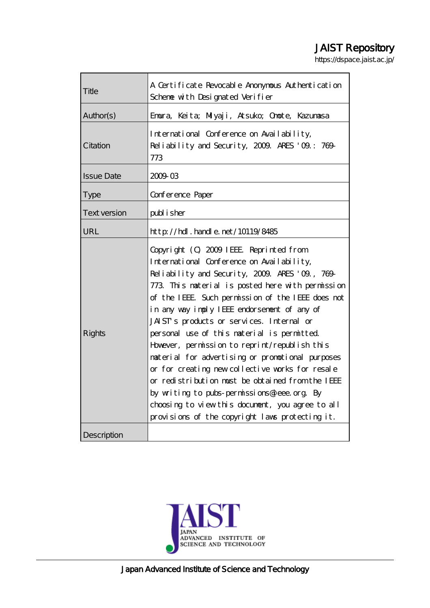# JAIST Repository

https://dspace.jaist.ac.jp/

| Title               | A Certificate Revocable Anonymous Authentication<br>Scheme with Designated Verifier                                                                                                                                                                                                                                                                                                                                                                                                                                                                                                                                                                                                                                                                         |  |
|---------------------|-------------------------------------------------------------------------------------------------------------------------------------------------------------------------------------------------------------------------------------------------------------------------------------------------------------------------------------------------------------------------------------------------------------------------------------------------------------------------------------------------------------------------------------------------------------------------------------------------------------------------------------------------------------------------------------------------------------------------------------------------------------|--|
| Author(s)           | Emura, Keita; Miyaji, Atsuko; Omote, Kazumasa                                                                                                                                                                                                                                                                                                                                                                                                                                                                                                                                                                                                                                                                                                               |  |
| Citation            | International Conference on Availability,<br>Reliability and Security, 2009. ARES '09: 769-<br>773                                                                                                                                                                                                                                                                                                                                                                                                                                                                                                                                                                                                                                                          |  |
| <b>Issue Date</b>   | 2009 03                                                                                                                                                                                                                                                                                                                                                                                                                                                                                                                                                                                                                                                                                                                                                     |  |
| <b>Type</b>         | Conference Paper                                                                                                                                                                                                                                                                                                                                                                                                                                                                                                                                                                                                                                                                                                                                            |  |
| <b>Text version</b> | publisher                                                                                                                                                                                                                                                                                                                                                                                                                                                                                                                                                                                                                                                                                                                                                   |  |
| URL                 | http://hdl.handle.net/10119/8485                                                                                                                                                                                                                                                                                                                                                                                                                                                                                                                                                                                                                                                                                                                            |  |
| <b>Rights</b>       | Copyright (C) 2009 IEEE Reprinted from<br>International Conference on Availability,<br>Reliability and Security, 2009. ARES '09, 769-<br>773 This naterial is posted here with permission<br>of the IEEE. Such permission of the IEEE does not<br>in any way imply IEEE endorsement of any of<br>JAIST's products or services. Internal or<br>personal use of this naterial is permitted.<br>However, permission to reprint/republish this<br>material for advertising or promotional purposes<br>or for creating new collective works for resale<br>or redistribution must be obtained from the IEEE<br>by writing to pubs-permissions@ieee.org. By<br>choosing to view this document, you agree to all<br>provisions of the copyright laws protecting it. |  |
| Description         |                                                                                                                                                                                                                                                                                                                                                                                                                                                                                                                                                                                                                                                                                                                                                             |  |

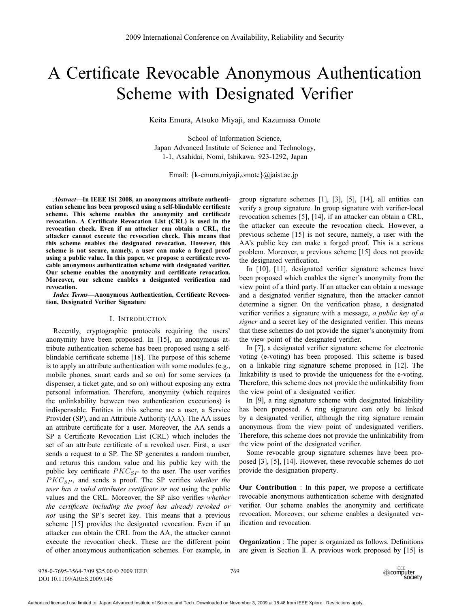# A Certificate Revocable Anonymous Authentication Scheme with Designated Verifier

Keita Emura, Atsuko Miyaji, and Kazumasa Omote

School of Information Science, Japan Advanced Institute of Science and Technology, 1-1, Asahidai, Nomi, Ishikawa, 923-1292, Japan

Email: {k-emura,miyaji,omote}@jaist.ac.jp

*Abstract***—In IEEE ISI 2008, an anonymous attribute authentication scheme has been proposed using a self-blindable certificate scheme. This scheme enables the anonymity and certificate revocation. A Certificate Revocation List (CRL) is used in the revocation check. Even if an attacker can obtain a CRL, the attacker cannot execute the revocation check. This means that this scheme enables the designated revocation. However, this scheme is not secure, namely, a user can make a forged proof using a public value. In this paper, we propose a certificate revocable anonymous authentication scheme with designated verifier. Our scheme enables the anonymity and certificate revocation. Moreover, our scheme enables a designated verification and revocation.**

*Index Terms***—Anonymous Authentication, Certificate Revocation, Designated Verifier Signature**

#### I. INTRODUCTION

Recently, cryptographic protocols requiring the users' anonymity have been proposed. In [15], an anonymous attribute authentication scheme has been proposed using a selfblindable certificate scheme [18]. The purpose of this scheme is to apply an attribute authentication with some modules (e.g., mobile phones, smart cards and so on) for some services (a dispenser, a ticket gate, and so on) without exposing any extra personal information. Therefore, anonymity (which requires the unlinkability between two authentication executions) is indispensable. Entities in this scheme are a user, a Service Provider (SP), and an Attribute Authority (AA). The AA issues an attribute certificate for a user. Moreover, the AA sends a SP a Certificate Revocation List (CRL) which includes the set of an attribute certificate of a revoked user. First, a user sends a request to a SP. The SP generates a random number, and returns this random value and his public key with the public key certificate  $PKC_{SP}$  to the user. The user verifies PKC<sub>SP</sub>, and sends a proof. The SP verifies *whether the user has a valid attributes certificate or not* using the public values and the CRL. Moreover, the SP also verifies *whether the certificate including the proof has already revoked or not* using the SP's secret key. This means that a previous scheme [15] provides the designated revocation. Even if an attacker can obtain the CRL from the AA, the attacker cannot execute the revocation check. These are the different point of other anonymous authentication schemes. For example, in group signature schemes [1], [3], [5], [14], all entities can verify a group signature. In group signature with verifier-local revocation schemes [5], [14], if an attacker can obtain a CRL, the attacker can execute the revocation check. However, a previous scheme [15] is not secure, namely, a user with the AA's public key can make a forged proof. This is a serious problem. Moreover, a previous scheme [15] does not provide the designated verification.

In [10], [11], designated verifier signature schemes have been proposed which enables the signer's anonymity from the view point of a third party. If an attacker can obtain a message and a designated verifier signature, then the attacker cannot determine a signer. On the verification phase, a designated verifier verifies a signature with a message, *a public key of a signer* and a secret key of the designated verifier. This means that these schemes do not provide the signer's anonymity from the view point of the designated verifier.

In [7], a designated verifier signature scheme for electronic voting (e-voting) has been proposed. This scheme is based on a linkable ring signature scheme proposed in [12]. The linkability is used to provide the uniqueness for the e-voting. Therefore, this scheme does not provide the unlinkability from the view point of a designated verifier.

In [9], a ring signature scheme with designated linkability has been proposed. A ring signature can only be linked by a designated verifier, although the ring signature remain anonymous from the view point of undesignated verifiers. Therefore, this scheme does not provide the unlinkability from the view point of the designated verifier.

Some revocable group signature schemes have been proposed [3], [5], [14]. However, these revocable schemes do not provide the designation property.

**Our Contribution** : In this paper, we propose a certificate revocable anonymous authentication scheme with designated verifier. Our scheme enables the anonymity and certificate revocation. Moreover, our scheme enables a designated verification and revocation.

**Organization** : The paper is organized as follows. Definitions are given is Section II. A previous work proposed by [15] is

978-0-7695-3564-7/09 \$25.00 © 2009 IEEE DOI 10.1109/ARES.2009.146

769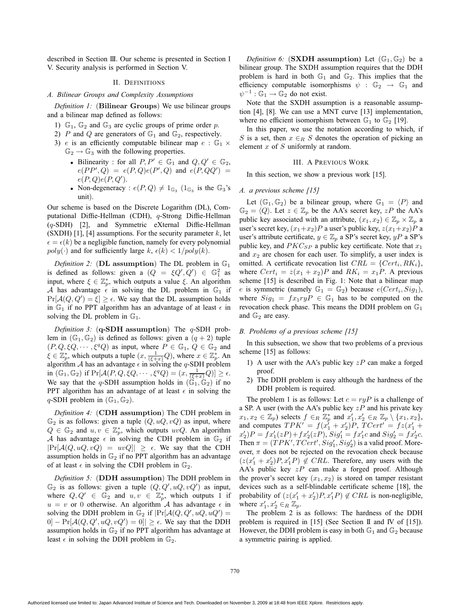described in Section III. Our scheme is presented in Section I V. Security analysis is performed in Section V.

#### II. DEFINITIONS

#### *A. Bilinear Groups and Complexity Assumptions*

*Definition 1:* (**Bilinear Groups**) We use bilinear groups and a bilinear map defined as follows:

- 1)  $\mathbb{G}_1$ ,  $\mathbb{G}_2$  and  $\mathbb{G}_3$  are cyclic groups of prime order p.
- 2) P and Q are generators of  $\mathbb{G}_1$  and  $\mathbb{G}_2$ , respectively.
- 3) e is an efficiently computable bilinear map  $e : \mathbb{G}_1 \times$  $\mathbb{G}_2 \rightarrow \mathbb{G}_3$  with the following properties.
	- Bilinearity : for all  $P, P' \in \mathbb{G}_1$  and  $Q, Q' \in \mathbb{G}_2$ ,<br>  $e(PP' \cap) = e(P \cap e(P' \cap))$  and  $e(P \cap Q') =$  $e(PP', Q) = e(P, Q)e(P', Q)$  and  $e(P, QQ') =$ <br> $e(P, O)e(P, O')$  $e(P,Q)e(P,Q').$ Non-degeneracy
	- Non-degeneracy :  $e(P,Q) \neq 1_{\mathbb{G}_3}$  ( $1_{\mathbb{G}_3}$  is the  $\mathbb{G}_3$ 's unit).

Our scheme is based on the Discrete Logarithm (DL), Computational Diffie-Hellman (CDH), q-Strong Diffie-Hellman (q-SDH) [2], and Symmetric eXternal Diffie-Hellman (SXDH) [1], [4] assumptions. For the security parameter  $k$ , let  $poly(\cdot)$  and for sufficiently large  $k$ ,  $\epsilon(k) < 1/poly(k)$ .  $\epsilon = \epsilon(k)$  be a negligible function, namely for every polynomial  $p_0 |u(\epsilon)|$  and for sufficiently large  $k_{\epsilon}(k) \leq 1 / p_0 |u(k)|$ 

*Definition 2:* (**DL assumption**) The DL problem in G<sup>1</sup> is defined as follows: given a  $(Q = \xi Q', Q') \in \mathbb{G}_1^2$  as<br>input where  $\xi \in \mathbb{Z}^*$  which outputs a value  $\xi$ . An algorithm input, where  $\xi \in \mathbb{Z}_p^*$ , which outputs a value  $\xi$ . An algorithm  $A$  has advantage  $\xi$  in solving the DL problem in  $\mathbb{G}_p$  if A has advantage  $\epsilon$  in solving the DL problem in  $\mathbb{G}_1$  if  $Pr[A(O|O') - \epsilon] > \epsilon$ . We say that the DL assumption holds  $\Pr[\mathcal{A}(Q, Q') = \xi] \ge \epsilon$ . We say that the DL assumption holds<br>in  $\mathbb{G}$ , if no PPT algorithm has an advantage of at least  $\epsilon$  in in  $\mathbb{G}_1$  if no PPT algorithm has an advantage of at least  $\epsilon$  in solving the DL problem in  $\mathbb{G}_r$ . solving the DL problem in  $\mathbb{G}_1$ .

*Definition 3:* (**q-SDH assumption**) The q-SDH problem in  $(\mathbb{G}_1, \mathbb{G}_2)$  is defined as follows: given a  $(q + 2)$  tuple  $(P, Q, \xi Q, \dots, \xi^q Q)$  as input, where  $P \in \mathbb{G}_1$ ,  $Q \in \mathbb{G}_2$  and  $\xi \in \mathbb{Z}_p^*$ , which outputs a tuple  $(x, \frac{1}{(\xi+x)}Q)$ , where  $x \in \mathbb{Z}_p^*$ . An algorithm A has an advantage  $\epsilon$  in solving the a-SDH problem algorithm A has an advantage  $\epsilon$  in solving the q-SDH problem<br>in  $(\mathbb{G}_{\epsilon}, \mathbb{G}_{\epsilon})$  if  $\Pr[A(P \cap \epsilon Q, \ldots \epsilon q Q) - (r - 1 - Q)] > \epsilon$ in  $(\mathbb{G}_1, \mathbb{G}_2)$  if  $Pr[\mathcal{A}(P, Q, \xi Q, \cdots, \xi^q Q)] = (x, \frac{1}{(\xi+x)}Q)] \ge \epsilon$ .<br>We say that the a SDH assumption holds in  $((\xi, \xi), \xi)$  if no We say that the q-SDH assumption holds in  $(\mathbb{G}_1, \mathbb{G}_2)$  if no PPT algorithm has an advantage of at least  $\epsilon$  in solving the  $\epsilon$ -SDH problem in ( $\mathbb{G}$ - $\mathbb{G}$ -) q-SDH problem in  $(\mathbb{G}_1, \mathbb{G}_2)$ .

*Definition 4:* (**CDH assumption**) The CDH problem in  $\mathbb{G}_2$  is as follows: given a tuple  $(Q, uQ, vQ)$  as input, where  $Q \in \mathbb{G}_2$  and  $u, v \in \mathbb{Z}_p^*$ , which outputs  $uvQ$ . An algorithm A has advantage  $\epsilon$  in solving the CDH problem in  $\mathbb{G}_2$  if A has advantage  $\epsilon$  in solving the CDH problem in  $\mathbb{G}_2$  if  $\text{Pr}[A(O, u \cap u \cap g) = u u \cap g] \geq \epsilon$ . We say that the CDH  $|\Pr[\mathcal{A}(Q, uQ, vQ)] = uvQ]| \ge \epsilon$ . We say that the CDH assumption holds in  $\mathbb{G}_p$  if no PPT algorithm has an advantage assumption holds in  $\mathbb{G}_2$  if no PPT algorithm has an advantage of at least  $\epsilon$  in solving the CDH problem in  $\mathbb{G}_2$ .

*Definition 5:* (**DDH assumption**) The DDH problem in  $\mathbb{G}_2$  is as follows: given a tuple  $(Q, Q', uQ, vQ')$  as input,<br>where  $\overline{Q}, \overline{Q'} \in \mathbb{G}_2$  and  $u, v \in \mathbb{Z}^*$  which outputs 1 if where  $Q, Q' \in \mathbb{G}_2$  and  $u, v \in \mathbb{Z}_p^*$ , which outputs 1 if  $u = v$  or 0 otherwise. An algorithm A has advantage  $\epsilon$  in solving the DDH problem in  $\mathbb{C}_{\Omega}$  if  $|\Pr(A(O, O', uO, uO'))|$ solving the DDH problem in  $\mathbb{G}_2$  if  $|\Pr[\mathcal{A}(Q, Q', uQ, uQ')] = 0$ <br>  $|Q| = \Pr[\mathcal{A}(Q, Q', uQ, uQ')] = 0$  $[0] - \Pr[\mathcal{A}(Q, Q', uQ, vQ')] = 0] \ge \epsilon$ . We say that the DDH assumption holds in  $\mathbb{G}_{\ge 0}$  if no PPT algorithm has advantage at assumption holds in  $\mathbb{G}_2$  if no PPT algorithm has advantage at least  $\epsilon$  in solving the DDH problem in  $\mathbb{G}_2$ .

*Definition 6:* (**SXDH** assumption) Let  $(\mathbb{G}_1, \mathbb{G}_2)$  be a bilinear group. The SXDH assumption requires that the DDH problem is hard in both  $\mathbb{G}_1$  and  $\mathbb{G}_2$ . This implies that the efficiency computable isomorphisms  $\psi : \mathbb{G}_2 \to \mathbb{G}_1$  and  $\psi^{-1}: \mathbb{G}_1 \to \mathbb{G}_2$  do not exist.

Note that the SXDH assumption is a reasonable assumption [4], [8]. We can use a MNT curve [13] implementation, where no efficient isomorphism between  $\mathbb{G}_1$  to  $\mathbb{G}_2$  [19].

In this paper, we use the notation according to which, if S is a set, then  $x \in_R S$  denotes the operation of picking an element x of S uniformly at random.

#### III. A PREVIOUS WORK

In this section, we show a previous work [15].

## *A. a previous scheme [15]*

Let  $(\mathbb{G}_1, \mathbb{G}_2)$  be a bilinear group, where  $\mathbb{G}_1 = \langle P \rangle$  and  $\mathbb{G}_2 = \langle Q \rangle$ . Let  $z \in \mathbb{Z}_p$  be the AA's secret key,  $zP$  the AA's public key associated with an attribute,  $(x_1, x_2) \in \mathbb{Z}_p \times \mathbb{Z}_p$  a user's secret key,  $(x_1+x_2)P$  a user's public key,  $z(x_1+x_2)P$  a user's attribute certificate,  $y \in \mathbb{Z}_p$  a SP's secret key,  $yP$  a SP's public key, and  $PKC_{SP}$  a public key certificate. Note that  $x_1$ and  $x_2$  are chosen for each user. To simplify, a user index is omitted. A certificate revocation list  $CRL = \{Cert_i, RK_i\},\$ where  $Cert_i = z(x_1 + x_2)P$  and  $RK_i = x_1P$ . A previous scheme [15] is described in Fig. 1: Note that a bilinear map e is symmetric (namely  $\mathbb{G}_1 = \mathbb{G}_2$ ) because  $e(Cert_i, Sig_1)$ , where  $Sig_1 = f x_1 ryP \in \mathbb{G}_1$  has to be computed on the revocation check phase. This means the DDH problem on  $\mathbb{G}_1$ and  $\mathbb{G}_2$  are easy.

#### *B. Problems of a previous scheme [15]*

In this subsection, we show that two problems of a previous scheme [15] as follows:

- 1) A user with the AA's public key  $zP$  can make a forged proof.
- 2) The DDH problem is easy although the hardness of the DDH problem is required.

The problem 1 is as follows: Let  $c = ryP$  is a challenge of a SP. A user (with the AA's public key  $zP$  and his private key  $x_1, x_2 \in \mathbb{Z}_p$ ) selects  $f \in_R \mathbb{Z}_p^*$  and  $x'_1, x'_2 \in_R \mathbb{Z}_p \setminus \{x_1, x_2\}$ ,<br>and computes  $TPK' = f(x' + x')P$   $TCert' = f(x' + x')P$ and computes  $TPK' = f(x_1' + x_2')P$ ,  $TCert' = fz(x_1' + x_2')P = fx'(xP) + fx'(xP)$ ,  $Sia' = fx'$  and  $Sia' = fx'$  a  $\begin{aligned} x_2' &P = f x_1'(z) + f x_2'(z)P, \, Sig_1' = f x_1'c \text{ and } Sig_2' = f x_2'c. \end{aligned}$ <br>Then  $\pi = (TPK' \, TCert' \, Sial' \, Sial)$  is a valid proof. More-Then  $\pi = (TPK', TCert', Sig'_1, Sig'_2)$  is a valid proof. More-<br>over  $\pi$  does not be rejected on the revocation check because over,  $\pi$  does not be rejected on the revocation check because  $(z(x'_1 + x'_2)P, x'_1P) \notin CRL$ . Therefore, any users with the <br>A A's public key zP can make a forged proof. Although AA's public key  $zP$  can make a forged proof. Although the prover's secret key  $(x_1, x_2)$  is stored on tamper resistant devices such as a self-blindable certificate scheme [18], the probability of  $(z(x_1' + x_2')P, x_1'P) \notin CRL$  is non-negligible,<br>where  $x' \leq x_1 \in \mathbb{Z}$ where  $x'_1, x'_2 \in_R \mathbb{Z}_p$ .<br>The problem 2 is

The problem 2 is as follows: The hardness of the DDH problem is required in [15] (See Section II and IV of [15]). However, the DDH problem is easy in both  $\mathbb{G}_1$  and  $\mathbb{G}_2$  because a symmetric pairing is applied.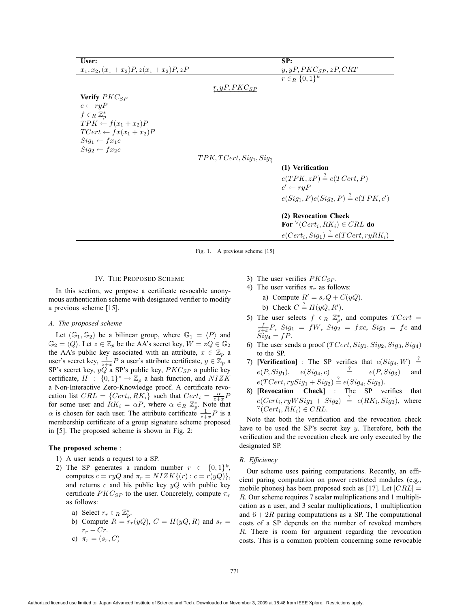| User:                                       |                            | SP:                                                 |
|---------------------------------------------|----------------------------|-----------------------------------------------------|
| $x_1, x_2, (x_1 + x_2)P, z(x_1 + x_2)P, zP$ |                            | $y, yP, PKC_{SP}, zP,CRT$                           |
|                                             |                            | $r \in R \{0,1\}^k$                                 |
|                                             | $r, yP, PKC_{SP}$          |                                                     |
| <b>Verify</b> $PKC_{SP}$                    |                            |                                                     |
| $c \leftarrow ryP$                          |                            |                                                     |
| $f\in_R \mathbb{Z}_p^*$                     |                            |                                                     |
| $TPK \leftarrow f(x_1 + x_2)P$              |                            |                                                     |
| $TCert \leftarrow fx(x_1 + x_2)P$           |                            |                                                     |
| $Siq_1 \leftarrow fx_1c$                    |                            |                                                     |
| $Sig_2 \leftarrow fx_2c$                    |                            |                                                     |
|                                             | $TPK, TCert, Sig_1, Sig_2$ |                                                     |
|                                             |                            | (1) Verification                                    |
|                                             |                            | $e(TPK, zP) \stackrel{?}{=} e(TCert, P)$            |
|                                             |                            | $c' \leftarrow r \nu P$                             |
|                                             |                            | $e(Sig_1, P)e(Sig_2, P) \stackrel{?}{=} e(TPK, c')$ |
|                                             |                            |                                                     |
|                                             |                            | (2) Revocation Check                                |
|                                             |                            | For $\forall (Cert_i, RK_i) \in CRL$ do             |
|                                             |                            | $e(Cert_i, Sig_1) \stackrel{?}{=} e(TCert, ryRK_i)$ |
|                                             |                            |                                                     |

Fig. 1. A previous scheme [15]

#### IV. THE PROPOSED SCHEME

In this section, we propose a certificate revocable anonymous authentication scheme with designated verifier to modify a previous scheme [15].

#### *A. The proposed scheme*

Let  $(\mathbb{G}_1, \mathbb{G}_2)$  be a bilinear group, where  $\mathbb{G}_1 = \langle P \rangle$  and  $\mathbb{G}_2 = \langle Q \rangle$ . Let  $z \in \mathbb{Z}_p$  be the AA's secret key,  $W = zQ \in \mathbb{G}_2$ the AA's public key associated with an attribute,  $x \in \mathbb{Z}_p$  a<br>user's secret key,  $\frac{1}{z+x}P$  a user's attribute certificate,  $y \in \mathbb{Z}_p$  a<br>SP's secret key,  $yQ$  a SP's public key,  $PKC_{\text{CR}}$  a public key SP's secret key,  $yQ$  a SP's public key,  $PKC_{SP}$  a public key certificate,  $H : \{0,1\}^* \to \mathbb{Z}_p$  a hash function, and  $NIZK$ a Non-Interactive Zero-Knowledge proof. A certificate revocation list  $CRL = \{Cert_i, RK_i\}$  such that  $Cert_i = \frac{\alpha}{z+x}P$ for some user and  $RK_i = \alpha P$ , where  $\alpha \in_R \mathbb{Z}_p^*$ . Note that  $\alpha$  is chosen for each user. The attribute certificate  $\frac{1}{\alpha} P$  is a  $\alpha$  is chosen for each user. The attribute certificate  $\frac{1}{z+x}P$  is a membership certificate of a group signature scheme proposed membership certificate of a group signature scheme proposed in [5]. The proposed scheme is shown in Fig. 2:

#### **The proposed scheme** :

- 1) A user sends a request to a SP.
- 2) The SP generates a random number  $r \in \{0,1\}^k$ , computes  $c = ryQ$  and  $\pi_r = NIZK\{(r) : c = r(yQ)\},\$ and returns  $c$  and his public key  $yQ$  with public key certificate  $PKC_{SP}$  to the user. Concretely, compute  $\pi_r$ as follows:
	- a) Select  $r_r \in_R \mathbb{Z}_p^*$ .<br>b) Compute  $R r$ .
	- b) Compute  $R = r_r(yQ)$ ,  $C = H(yQ, R)$  and  $s_r =$  $r_r - Cr$ . c)  $\pi_r = (s_r, C)$
- 3) The user verifies  $PKC_{SP}$ .
- 4) The user verifies  $\pi_r$  as follows:
	- a) Compute  $R' = s_r Q + C(yQ)$ . b) Check  $C = H(yQ, R')$ .
- 5) The user selects  $f \in_R \mathbb{Z}_p^*$ , and computes  $TCert =$ <br> $f \in_R \mathbb{Z}_{q_1}^* = f \in_R \mathbb{Z}_{q_2}^* = f \in_R \mathbb{Z}_{q_3}^* = f \in_R \mathbb{Z}_{q_3}^*$  $\frac{f}{z+x}P$ ,  $Sig_1 = fW$ ,  $Sig_2 = fxc$ ,  $Sig_3 = fc$  and  $Sig_4 = fP.$
- 6) The user sends a proof  $(TCert, Sig_1, Sig_2, Sig_3, Sig_4)$ to the SP.
- 7) **[Verification]** : The SP verifies that  $e(Sig_4, W) \stackrel{?}{=}$  $e(P, Sig_1), \quad e(Sig_4, c) \quad \frac{?}{=}$  $e(P, Sig_3)$  and  $e(TCert, rySig_1 + Sig_2) \stackrel{?}{=} e(Sig_4, Sig_3).$ <br> **Exercision** Check The SP ye
- 8) **[Revocation Check]** : The SP verifies that  $e(Cert_i, ryWSig_1 + Sig_2) \stackrel{?}{=} e(RK_i, Sig_3)$ , where<br>  $\forall (Cert \cdot RK \cdot) \in CH$  $\forall$ (Cert<sub>i</sub>, RK<sub>i</sub>)  $\in$  CRL.

Note that both the verification and the revocation check have to be used the SP's secret key  $y$ . Therefore, both the verification and the revocation check are only executed by the designated SP.

# *B. Efficiency*

Our scheme uses pairing computations. Recently, an efficient paring computation on power restricted modules (e.g., mobile phones) has been proposed such as [17]. Let  $|CRL|$  = R. Our scheme requires 7 scalar multiplications and 1 multiplication as a user, and 3 scalar multiplications, 1 multiplication and  $6+2R$  paring computations as a SP. The computational costs of a SP depends on the number of revoked members R. There is room for argument regarding the revocation costs. This is a common problem concerning some revocable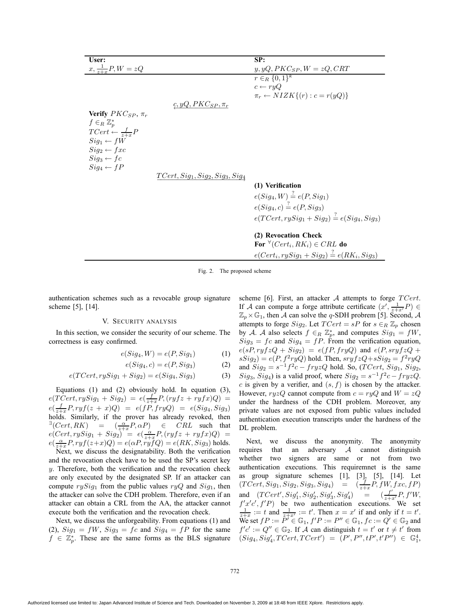| User:                             |                                     | SP:                                                                 |
|-----------------------------------|-------------------------------------|---------------------------------------------------------------------|
| $x, \frac{1}{z+r}P, W = zQ$       |                                     | $y, yQ, PKC_{SP}, W = zQ, CRT$                                      |
|                                   |                                     | $r \in_R \{0,1\}^k$                                                 |
|                                   |                                     | $c \leftarrow ryQ$                                                  |
|                                   |                                     | $\pi_r \leftarrow NIZK\{(r): c = r(yQ)\}\$                          |
|                                   | $g, yQ, PKC_{SP}, \pi_r$            |                                                                     |
| Verify $PKC_{SP}$ , $\pi_r$       |                                     |                                                                     |
| $f\in_R \mathbb{Z}_p^*$           |                                     |                                                                     |
| $TCert \leftarrow \frac{f}{z+x}P$ |                                     |                                                                     |
| $Siq_1 \leftarrow fW$             |                                     |                                                                     |
|                                   |                                     |                                                                     |
| $Sig_2 \leftarrow fxc$            |                                     |                                                                     |
| $Sig_3 \leftarrow fc$             |                                     |                                                                     |
| $Sig_4 \leftarrow fP$             |                                     |                                                                     |
|                                   | $TCert, Sig_1, Sig_2, Sig_3, Sig_4$ |                                                                     |
|                                   |                                     | (1) Verification                                                    |
|                                   |                                     | $e(Sig_4, W) \stackrel{?}{=} e(P, Sig_1)$                           |
|                                   |                                     | $e(Sig_4, c) \stackrel{?}{=} e(P, Sig_3)$                           |
|                                   |                                     | $\pi$ $\alpha$ $\alpha$ $\alpha$ $\beta$ $\alpha$ $\alpha$ $\alpha$ |

**(2) Revocation Check**

**For**  $\forall$  (Cert<sub>i</sub>, RK<sub>i</sub>)  $\in$  CRL **do**  $e(Cert_i, rySig_1 + Sig_2) \stackrel{?}{=} e(RK_i, Sig_3)$ 

 $e(TCert, rySig_1 + Sig_2) \stackrel{?}{=} e(Sig_4, Sig_3)$ 

Fig. 2. The proposed scheme

authentication schemes such as a revocable group signature scheme [5], [14].

# V. SECURITY ANALYSIS

In this section, we consider the security of our scheme. The correctness is easy confirmed.

$$
e(Sig_4, W) = e(P, Sig_1)
$$
 (1)

$$
e(Sig_4, c) = e(P, Sig_3)
$$
 (2)

$$
e(TCert, rySig1 + Sig2) = e(Sig4, Sig3)
$$
 (3)

Equations (1) and (2) obviously hold. In equation (3),  $e(TCert, rySig_1 + Sig_2) = e(\frac{f}{z+x}P, (ryfz + ryfx)Q) =$  $e(\frac{f}{z+x}P, ryf(z+x)Q) = e(fP, fryQ) = e(Sig_4, Sig_3)$ <br>holds Similarly if the prover has already revoked then holds. Similarly, if the prover has already revoked, then  $\begin{array}{lll}\n\exists (Cert, RK) & = & (\frac{\alpha}{z+R}, \alpha P) & \in \text{CRL} \text{ such that} \\
\epsilon (Cert, r_1Sia_1 + Sia_2) & = & \epsilon (\frac{\alpha}{R} P (r_1f_2 + r_1f_1)O) & \text{ } \end{array}$  $e(Cert, rySig_1 + Sig_2)' = e(\frac{\alpha}{z+x}P, (ryf z + ryfx)Q) =$ <br> $e(\frac{\alpha}{z}P, ryf(z+x)Q) = e(\alpha P, ryfQ) = e(RK, Sig_0)$  holds  $e(\frac{\alpha}{z+x}P, ryf(z+x)Q) = e(\alpha P, ryfQ) = e(RK, Sig_3)$  holds.<br>Next, we discuss the designatibility. Both the verification

Next, we discuss the designatability. Both the verification and the revocation check have to be used the SP's secret key y. Therefore, both the verification and the revocation check are only executed by the designated SP. If an attacker can compute  $rySig_1$  from the public values  $ryQ$  and  $Sig_1$ , then the attacker can solve the CDH problem. Therefore, even if an attacker can obtain a CRL from the AA, the attacker cannot execute both the verification and the revocation check.

Next, we discuss the unforgeability. From equations (1) and (2),  $Sig_1 = fW$ ,  $Sig_3 = fc$  and  $Sig_4 = fP$  for the same  $f \in \mathbb{Z}_p^*$ . These are the same forms as the BLS signature scheme [6]. First, an attacker  $A$  attempts to forge  $T$ Cert. If A can compute a forge attribute certificate  $(x', \frac{1}{z+x'}P) \in \mathbb{Z} \times \mathbb{C}$ , then A can solve the a-SDH probrem [5]. Second A  $\mathbb{Z}_p\times\mathbb{G}_1$ , then A can solve the q-SDH probrem [5]. Second, A attempts to forge  $Sig_2$ . Let  $TCert = sP$  for  $s \in_R \mathbb{Z}_p$  chosen by A. A also selects  $f \in_R \mathbb{Z}_p^*$ , and computes  $Sig_1 = fW$ ,<br>Sign – f c and Sign – f P. From the verification equation  $Sig_3 = fc$  and  $Sig_4 = fP$ . From the verification equation,  $e(sP, ryfzQ + Sig_2) = e(fP, fryQ)$  and  $e(P, sryfzQ + q)$  $sSig_2$ ) =  $e(P, f^2ryQ)$  hold. Then,  $sryfzQ + sSig_2 = f^2ryQ$ and  $Sig_2 = s^{-1}f^2c - fryzQ$  hold. So, (*TCert*,  $Sig_1$ ,  $Sig_2$ ,  $Sig_3$ ,  $Sig_4$ ) is a valid proof, where  $Sig_2 = s^{-1}f^2c - fryzQ$ . c is given by a verifier, and  $(s, f)$  is chosen by the attacker. However,  $ryzQ$  cannot compute from  $c = ryQ$  and  $W = zQ$ under the hardness of the CDH problem. Moreover, any private values are not exposed from public values included authentication execution transcripts under the hardness of the DL problem.

Next, we discuss the anonymity. The anonymity requires that an adversary A cannot distinguish whether two signers are same or not from two authentication executions. This requiremnet is the same as group signature schemes [1], [3], [5], [14]. Let  $(TCert, Sig_1, Sig_2, Sig_3, Sig_4) = (\frac{f}{z+x}P, fW, fxc, fP)$ and  $(TCert', Sig'_1, Sig'_2, Sig'_3, Sig'_4) = (\frac{f'}{x+x}, Pf')$ <br>  $f'x'c' f'P$  be two supportion executions We  $\langle x/c \rangle f'P$ ) be two authentication executions We set  $f'x'c', f'P$  be two authentication executions. We set  $\frac{1}{f}$   $\cdots$   $f$  and  $\frac{1}{f}$   $\cdots$   $f'$  Then  $x - x'$  if and only if  $t - t'$  $\frac{1}{z+x} := t$  and  $\frac{1}{z+x'} := t'$ . Then  $x = x'$  if and only if  $t = t'$ .<br>We set  $f P := \overline{P'} \in \mathbb{C}$ ,  $f' P := P'' \in \mathbb{C}$ ,  $f c := Q' \in \mathbb{C}$  and We set  $fP := \tilde{P}^{\prime} \in \mathbb{G}_1$ ,  $f'P := P^{\prime\prime} \in \mathbb{G}_1$ ,  $f c := Q^{\prime} \in \mathbb{G}_2$  and  $f^{\prime}c^{\prime} := Q^{\prime\prime} \in \mathbb{G}_2$ . If A can distinguish  $t - t^{\prime}$  or  $t \neq t^{\prime}$  from  $f'c' := Q'' \in \mathbb{G}_2$ . If A can distinguish  $t = t'$  or  $t \neq t'$  from<br>  $(g_{ia}, g_{ia'})$   $TCert' + TCert') - (P' P'' + P' + P'') \in \mathbb{C}^4$  $(Sig_4, Sig'_4, TCert, TCert') = (P', P'', tP', t'P'') \in \mathbb{G}_1^4,$